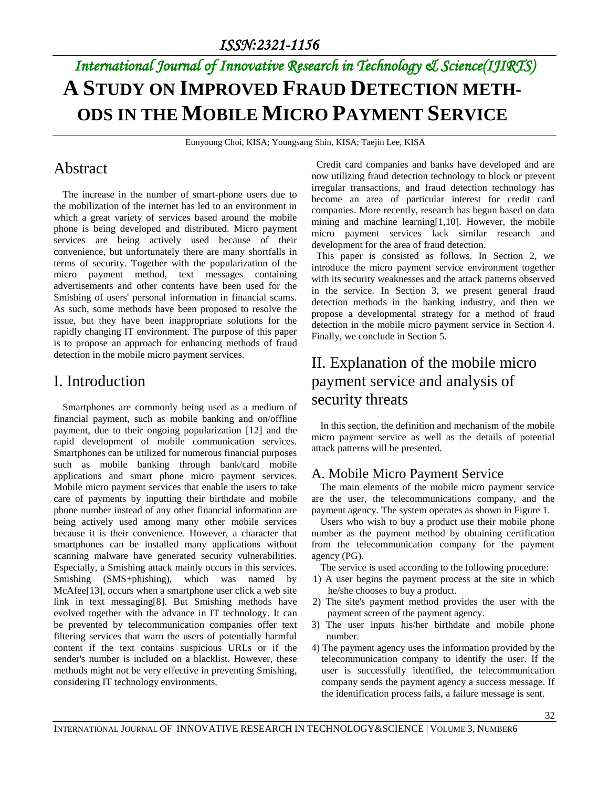# *International Journal of Innovative Research in Technology & Science(IJIRTS)* **A STUDY ON IMPROVED FRAUD DETECTION METH-ODS IN THE MOBILE MICRO PAYMENT SERVICE**

Eunyoung Choi, KISA; Youngsang Shin, KISA; Taejin Lee, KISA

#### Abstract

The increase in the number of smart-phone users due to the mobilization of the internet has led to an environment in which a great variety of services based around the mobile phone is being developed and distributed. Micro payment services are being actively used because of their convenience, but unfortunately there are many shortfalls in terms of security. Together with the popularization of the micro payment method, text messages containing advertisements and other contents have been used for the Smishing of users' personal information in financial scams. As such, some methods have been proposed to resolve the issue, but they have been inappropriate solutions for the rapidly changing IT environment. The purpose of this paper is to propose an approach for enhancing methods of fraud detection in the mobile micro payment services.

#### I. Introduction

Smartphones are commonly being used as a medium of financial payment, such as mobile banking and on/offline payment, due to their ongoing popularization [12] and the rapid development of mobile communication services. Smartphones can be utilized for numerous financial purposes such as mobile banking through bank/card mobile applications and smart phone micro payment services. Mobile micro payment services that enable the users to take care of payments by inputting their birthdate and mobile phone number instead of any other financial information are being actively used among many other mobile services because it is their convenience. However, a character that smartphones can be installed many applications without scanning malware have generated security vulnerabilities. Especially, a Smishing attack mainly occurs in this services. Smishing (SMS+phishing), which was named by McAfee<sup>[13]</sup>, occurs when a smartphone user click a web site link in text messaging[8]. But Smishing methods have evolved together with the advance in IT technology. It can be prevented by telecommunication companies offer text filtering services that warn the users of potentially harmful content if the text contains suspicious URLs or if the sender's number is included on a blacklist. However, these methods might not be very effective in preventing Smishing, considering IT technology environments.

Credit card companies and banks have developed and are now utilizing fraud detection technology to block or prevent irregular transactions, and fraud detection technology has become an area of particular interest for credit card companies. More recently, research has begun based on data mining and machine learning[1,10]. However, the mobile micro payment services lack similar research and development for the area of fraud detection.

This paper is consisted as follows. In Section 2, we introduce the micro payment service environment together with its security weaknesses and the attack patterns observed in the service. In Section 3, we present general fraud detection methods in the banking industry, and then we propose a developmental strategy for a method of fraud detection in the mobile micro payment service in Section 4. Finally, we conclude in Section 5.

### II. Explanation of the mobile micro payment service and analysis of security threats

In this section, the definition and mechanism of the mobile micro payment service as well as the details of potential attack patterns will be presented.

#### A. Mobile Micro Payment Service

The main elements of the mobile micro payment service are the user, the telecommunications company, and the payment agency. The system operates as shown in Figure 1.

Users who wish to buy a product use their mobile phone number as the payment method by obtaining certification from the telecommunication company for the payment agency (PG).

The service is used according to the following procedure:

- 1) A user begins the payment process at the site in which he/she chooses to buy a product.
- 2) The site's payment method provides the user with the payment screen of the payment agency.
- 3) The user inputs his/her birthdate and mobile phone number.
- 4) The payment agency uses the information provided by the telecommunication company to identify the user. If the user is successfully identified, the telecommunication company sends the payment agency a success message. If the identification process fails, a failure message is sent.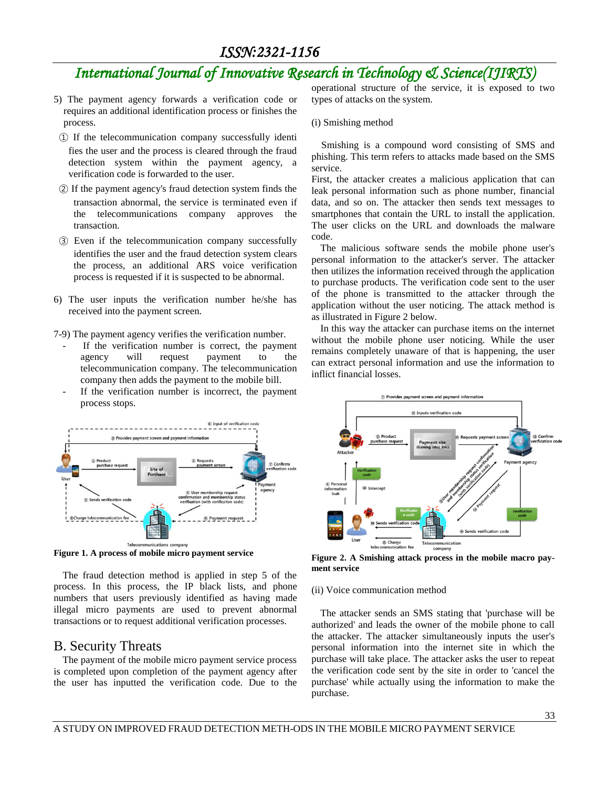## *International Journal of Innovative Research in Technology & Science(IJIRTS)*

- 5) The payment agency forwards a verification code or requires an additional identification process or finishes the process.
- ① If the telecommunication company successfully identi fies the user and the process is cleared through the fraud detection system within the payment agency, a verification code is forwarded to the user.
- ② If the payment agency's fraud detection system finds the transaction abnormal, the service is terminated even if the telecommunications company approves the transaction.
- ③ Even if the telecommunication company successfully identifies the user and the fraud detection system clears the process, an additional ARS voice verification process is requested if it is suspected to be abnormal.
- 6) The user inputs the verification number he/she has received into the payment screen.

7-9) The payment agency verifies the verification number.

- If the verification number is correct, the payment agency will request payment to the telecommunication company. The telecommunication company then adds the payment to the mobile bill.
- If the verification number is incorrect, the payment process stops.



**Figure 1. A process of mobile micro payment service**

The fraud detection method is applied in step 5 of the process. In this process, the IP black lists, and phone numbers that users previously identified as having made illegal micro payments are used to prevent abnormal transactions or to request additional verification processes.

#### B. Security Threats

The payment of the mobile micro payment service process is completed upon completion of the payment agency after the user has inputted the verification code. Due to the operational structure of the service, it is exposed to two types of attacks on the system.

#### (i) Smishing method

Smishing is a compound word consisting of SMS and phishing. This term refers to attacks made based on the SMS service.

First, the attacker creates a malicious application that can leak personal information such as phone number, financial data, and so on. The attacker then sends text messages to smartphones that contain the URL to install the application. The user clicks on the URL and downloads the malware code.

The malicious software sends the mobile phone user's personal information to the attacker's server. The attacker then utilizes the information received through the application to purchase products. The verification code sent to the user of the phone is transmitted to the attacker through the application without the user noticing. The attack method is as illustrated in Figure 2 below.

In this way the attacker can purchase items on the internet without the mobile phone user noticing. While the user remains completely unaware of that is happening, the user can extract personal information and use the information to inflict financial losses.



**Figure 2. A Smishing attack process in the mobile macro payment service** 

#### (ii) Voice communication method

The attacker sends an SMS stating that 'purchase will be authorized' and leads the owner of the mobile phone to call the attacker. The attacker simultaneously inputs the user's personal information into the internet site in which the purchase will take place. The attacker asks the user to repeat the verification code sent by the site in order to 'cancel the purchase' while actually using the information to make the purchase.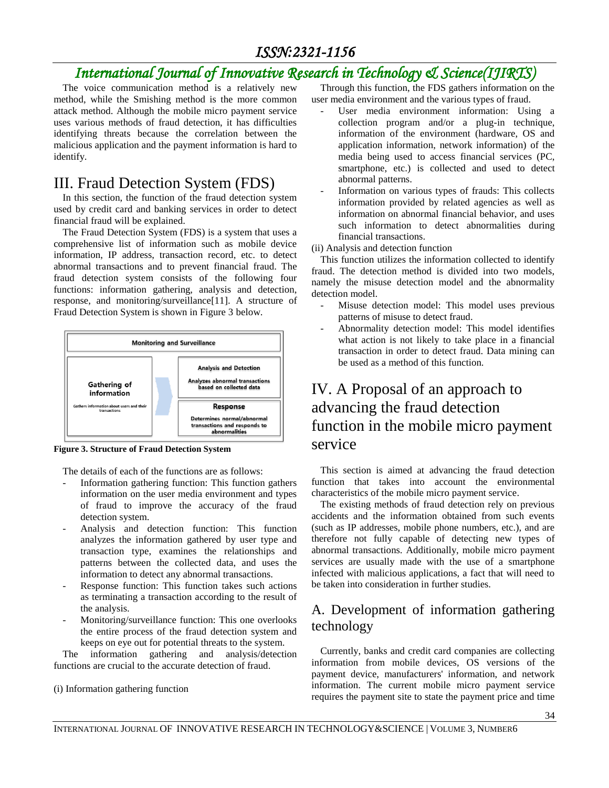## *International Journal of Innovative Research in Technology & Science(IJIRTS)*

The voice communication method is a relatively new method, while the Smishing method is the more common attack method. Although the mobile micro payment service uses various methods of fraud detection, it has difficulties identifying threats because the correlation between the malicious application and the payment information is hard to identify.

#### III. Fraud Detection System (FDS)

In this section, the function of the fraud detection system used by credit card and banking services in order to detect financial fraud will be explained.

The Fraud Detection System (FDS) is a system that uses a comprehensive list of information such as mobile device information, IP address, transaction record, etc. to detect abnormal transactions and to prevent financial fraud. The fraud detection system consists of the following four functions: information gathering, analysis and detection, response, and monitoring/surveillance[11]. A structure of Fraud Detection System is shown in Figure 3 below.



**Figure 3. Structure of Fraud Detection System**

The details of each of the functions are as follows:

- Information gathering function: This function gathers information on the user media environment and types of fraud to improve the accuracy of the fraud detection system.
- Analysis and detection function: This function analyzes the information gathered by user type and transaction type, examines the relationships and patterns between the collected data, and uses the information to detect any abnormal transactions.
- Response function: This function takes such actions as terminating a transaction according to the result of the analysis.
- Monitoring/surveillance function: This one overlooks the entire process of the fraud detection system and keeps on eye out for potential threats to the system.

The information gathering and analysis/detection functions are crucial to the accurate detection of fraud.

(i) Information gathering function

Through this function, the FDS gathers information on the user media environment and the various types of fraud.

- User media environment information: Using a collection program and/or a plug-in technique, information of the environment (hardware, OS and application information, network information) of the media being used to access financial services (PC, smartphone, etc.) is collected and used to detect abnormal patterns.
- Information on various types of frauds: This collects information provided by related agencies as well as information on abnormal financial behavior, and uses such information to detect abnormalities during financial transactions.

(ii) Analysis and detection function

This function utilizes the information collected to identify fraud. The detection method is divided into two models, namely the misuse detection model and the abnormality detection model.

- Misuse detection model: This model uses previous patterns of misuse to detect fraud.
- Abnormality detection model: This model identifies what action is not likely to take place in a financial transaction in order to detect fraud. Data mining can be used as a method of this function.

### IV. A Proposal of an approach to advancing the fraud detection function in the mobile micro payment service

This section is aimed at advancing the fraud detection function that takes into account the environmental characteristics of the mobile micro payment service.

The existing methods of fraud detection rely on previous accidents and the information obtained from such events (such as IP addresses, mobile phone numbers, etc.), and are therefore not fully capable of detecting new types of abnormal transactions. Additionally, mobile micro payment services are usually made with the use of a smartphone infected with malicious applications, a fact that will need to be taken into consideration in further studies.

#### A. Development of information gathering technology

Currently, banks and credit card companies are collecting information from mobile devices, OS versions of the payment device, manufacturers' information, and network information. The current mobile micro payment service requires the payment site to state the payment price and time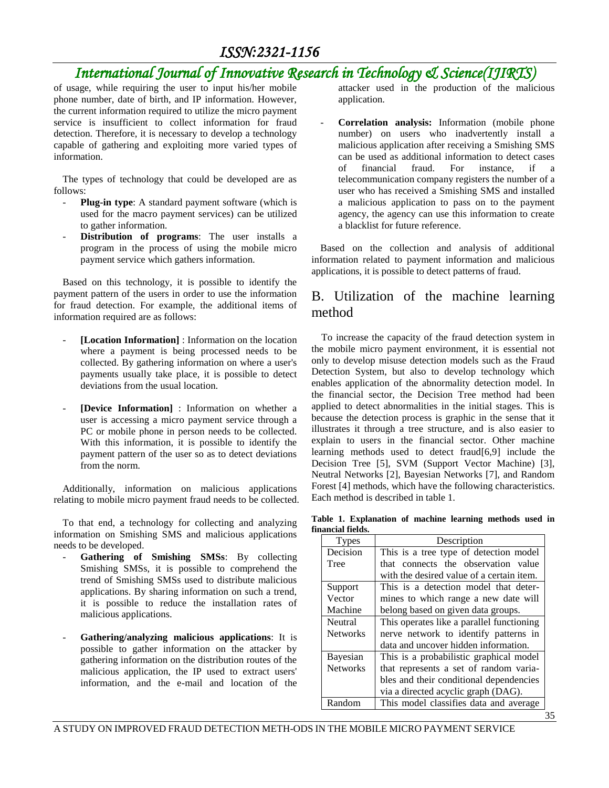### *International Journal of Innovative Research in Technology & Science(IJIRTS)*

of usage, while requiring the user to input his/her mobile phone number, date of birth, and IP information. However, the current information required to utilize the micro payment service is insufficient to collect information for fraud detection. Therefore, it is necessary to develop a technology capable of gathering and exploiting more varied types of information.

The types of technology that could be developed are as follows:

- Plug-in type: A standard payment software (which is used for the macro payment services) can be utilized to gather information.
- Distribution of programs: The user installs a program in the process of using the mobile micro payment service which gathers information.

Based on this technology, it is possible to identify the payment pattern of the users in order to use the information for fraud detection. For example, the additional items of information required are as follows:

- [Location Information] : Information on the location where a payment is being processed needs to be collected. By gathering information on where a user's payments usually take place, it is possible to detect deviations from the usual location.
- **[Device Information]** : Information on whether a user is accessing a micro payment service through a PC or mobile phone in person needs to be collected. With this information, it is possible to identify the payment pattern of the user so as to detect deviations from the norm.

Additionally, information on malicious applications relating to mobile micro payment fraud needs to be collected.

To that end, a technology for collecting and analyzing information on Smishing SMS and malicious applications needs to be developed.

- Gathering of Smishing SMSs: By collecting Smishing SMSs, it is possible to comprehend the trend of Smishing SMSs used to distribute malicious applications. By sharing information on such a trend, it is possible to reduce the installation rates of malicious applications.
- **Gathering/analyzing malicious applications**: It is possible to gather information on the attacker by gathering information on the distribution routes of the malicious application, the IP used to extract users' information, and the e-mail and location of the

attacker used in the production of the malicious application.

- **Correlation analysis:** Information (mobile phone number) on users who inadvertently install a malicious application after receiving a Smishing SMS can be used as additional information to detect cases of financial fraud. For instance, if a telecommunication company registers the number of a user who has received a Smishing SMS and installed a malicious application to pass on to the payment agency, the agency can use this information to create a blacklist for future reference.

Based on the collection and analysis of additional information related to payment information and malicious applications, it is possible to detect patterns of fraud.

#### B. Utilization of the machine learning method

To increase the capacity of the fraud detection system in the mobile micro payment environment, it is essential not only to develop misuse detection models such as the Fraud Detection System, but also to develop technology which enables application of the abnormality detection model. In the financial sector, the Decision Tree method had been applied to detect abnormalities in the initial stages. This is because the detection process is graphic in the sense that it illustrates it through a tree structure, and is also easier to explain to users in the financial sector. Other machine learning methods used to detect fraud[6,9] include the Decision Tree [5], SVM (Support Vector Machine) [3], Neutral Networks [2], Bayesian Networks [7], and Random Forest [4] methods, which have the following characteristics. Each method is described in table 1.

**Table 1. Explanation of machine learning methods used in financial fields.**

| <b>Types</b>    | Description                               |  |  |  |
|-----------------|-------------------------------------------|--|--|--|
| Decision        | This is a tree type of detection model    |  |  |  |
| Tree            | that connects the observation value       |  |  |  |
|                 | with the desired value of a certain item. |  |  |  |
| Support         | This is a detection model that deter-     |  |  |  |
| Vector          | mines to which range a new date will      |  |  |  |
| Machine         | belong based on given data groups.        |  |  |  |
| Neutral         | This operates like a parallel functioning |  |  |  |
| <b>Networks</b> | nerve network to identify patterns in     |  |  |  |
|                 | data and uncover hidden information.      |  |  |  |
| Bayesian        | This is a probabilistic graphical model   |  |  |  |
| <b>Networks</b> | that represents a set of random varia-    |  |  |  |
|                 | bles and their conditional dependencies   |  |  |  |
|                 | via a directed acyclic graph (DAG).       |  |  |  |
| Random          | This model classifies data and average    |  |  |  |

35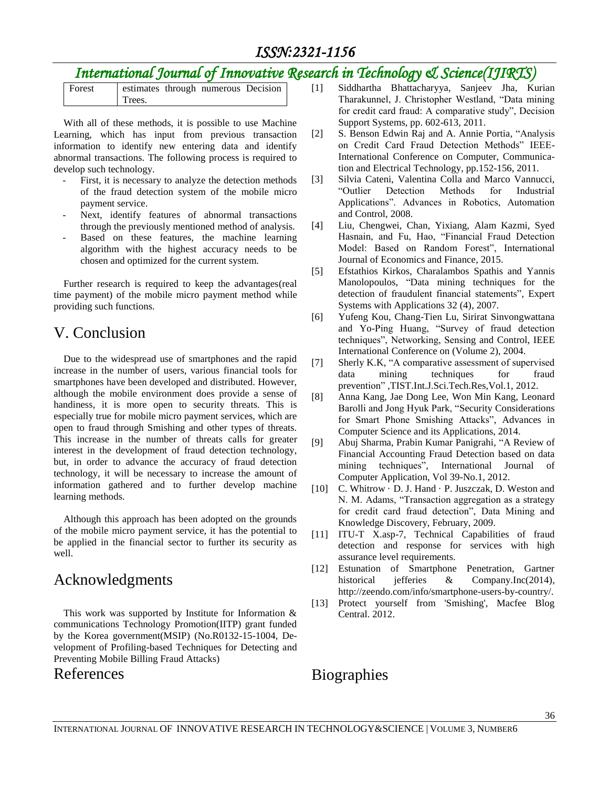## *International Journal of Innovative Research in Technology & Science(IJIRTS)*

| Forest |        | estimates through numerous Decision |  |
|--------|--------|-------------------------------------|--|
|        | Trees. |                                     |  |

With all of these methods, it is possible to use Machine Learning, which has input from previous transaction information to identify new entering data and identify abnormal transactions. The following process is required to develop such technology.

- First, it is necessary to analyze the detection methods of the fraud detection system of the mobile micro payment service.
- Next, identify features of abnormal transactions through the previously mentioned method of analysis.
- Based on these features, the machine learning algorithm with the highest accuracy needs to be chosen and optimized for the current system.

Further research is required to keep the advantages(real time payment) of the mobile micro payment method while providing such functions.

#### V. Conclusion

Due to the widespread use of smartphones and the rapid increase in the number of users, various financial tools for smartphones have been developed and distributed. However, although the mobile environment does provide a sense of handiness, it is more open to security threats. This is especially true for mobile micro payment services, which are open to fraud through Smishing and other types of threats. This increase in the number of threats calls for greater interest in the development of fraud detection technology, but, in order to advance the accuracy of fraud detection technology, it will be necessary to increase the amount of information gathered and to further develop machine learning methods.

Although this approach has been adopted on the grounds of the mobile micro payment service, it has the potential to be applied in the financial sector to further its security as well.

#### Acknowledgments

This work was supported by Institute for Information & communications Technology Promotion(IITP) grant funded by the Korea government(MSIP) (No.R0132-15-1004, Development of Profiling-based Techniques for Detecting and Preventing Mobile Billing Fraud Attacks)

#### References

- [1] Siddhartha Bhattacharyya, Sanjeev Jha, Kurian Tharakunnel, J. Christopher Westland, "Data mining for credit card fraud: A comparative study", Decision Support Systems, pp. 602-613, 2011.
- [2] S. Benson Edwin Raj and A. Annie Portia, "Analysis on Credit Card Fraud Detection Methods" IEEE-International Conference on Computer, Communication and Electrical Technology, pp.152-156, 2011.
- [3] Silvia Cateni, Valentina Colla and Marco Vannucci, "Outlier Detection Methods for Industrial Applications". Advances in Robotics, Automation and Control, 2008.
- [4] Liu, Chengwei, Chan, Yixiang, Alam Kazmi, Syed Hasnain, and Fu, Hao, "Financial Fraud Detection Model: Based on Random Forest", International Journal of Economics and Finance, 2015.
- [5] Efstathios Kirkos, Charalambos Spathis and Yannis Manolopoulos, "Data mining techniques for the detection of fraudulent financial statements", Expert Systems with Applications 32 (4), 2007.
- [6] Yufeng Kou, Chang-Tien Lu, Sirirat Sinvongwattana and Yo-Ping Huang, "Survey of fraud detection techniques", Networking, Sensing and Control, IEEE International Conference on (Volume 2), 2004.
- [7] Sherly K.K, "A comparative assessment of supervised data mining techniques for fraud prevention" ,TIST.Int.J.Sci.Tech.Res,Vol.1, 2012.
- [8] Anna Kang, Jae Dong Lee, Won Min Kang, Leonard Barolli and Jong Hyuk Park, "Security Considerations for Smart Phone Smishing Attacks", Advances in Computer Science and its Applications, 2014.
- [9] Abuj Sharma, Prabin Kumar Panigrahi, "A Review of Financial Accounting Fraud Detection based on data mining techniques", International Journal of Computer Application, Vol 39-No.1, 2012.
- [10] C. Whitrow  $\cdot$  D. J. Hand  $\cdot$  P. Juszczak, D. Weston and N. M. Adams, "Transaction aggregation as a strategy for credit card fraud detection", Data Mining and Knowledge Discovery, February, 2009.
- [11] ITU-T X.asp-7, Technical Capabilities of fraud detection and response for services with high assurance level requirements.
- [12] Estunation of Smartphone Penetration, Gartner historical jefferies & Company.Inc(2014), http://zeendo.com/info/smartphone-users-by-country/.
- [13] Protect yourself from 'Smishing', Macfee Blog Central. 2012.

### **Biographies**